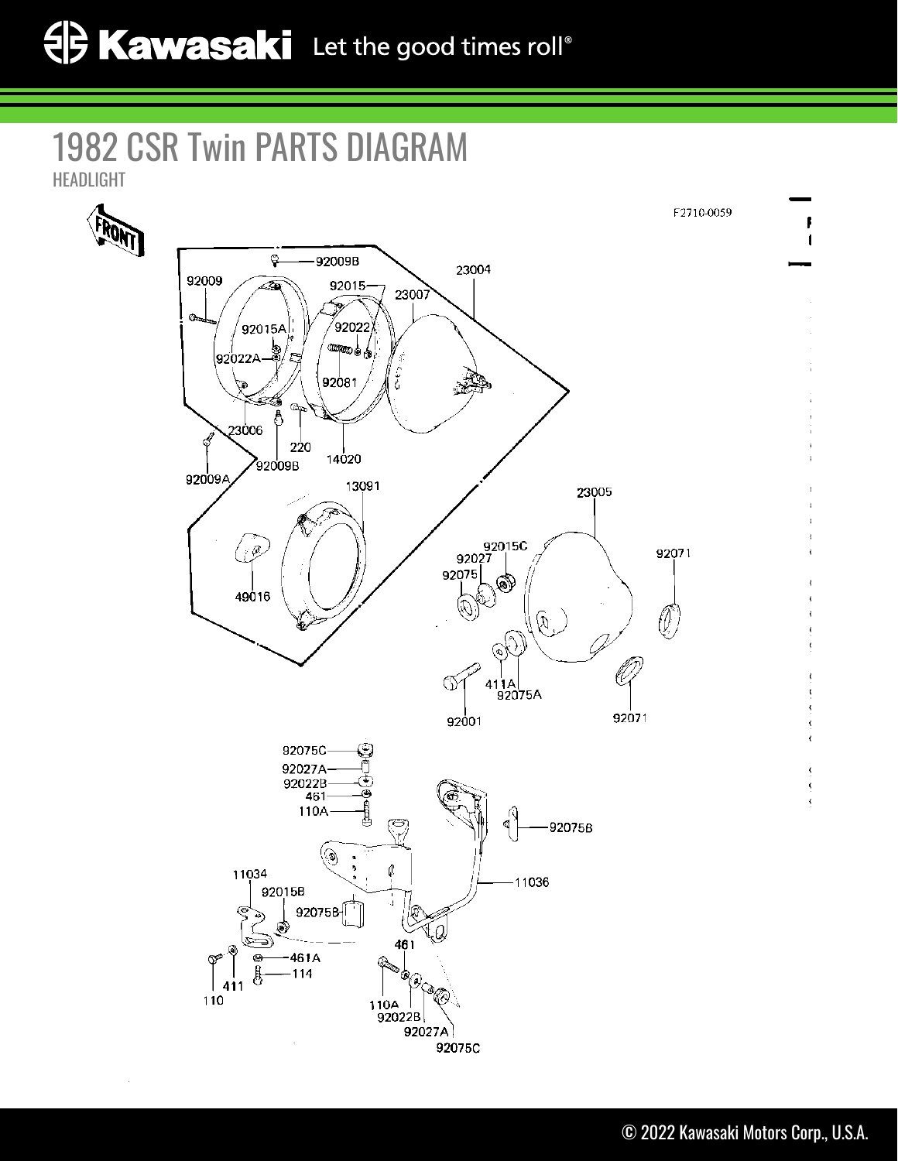## 1982 CSR Twin PARTS DIAGRAM HEADLIGHT

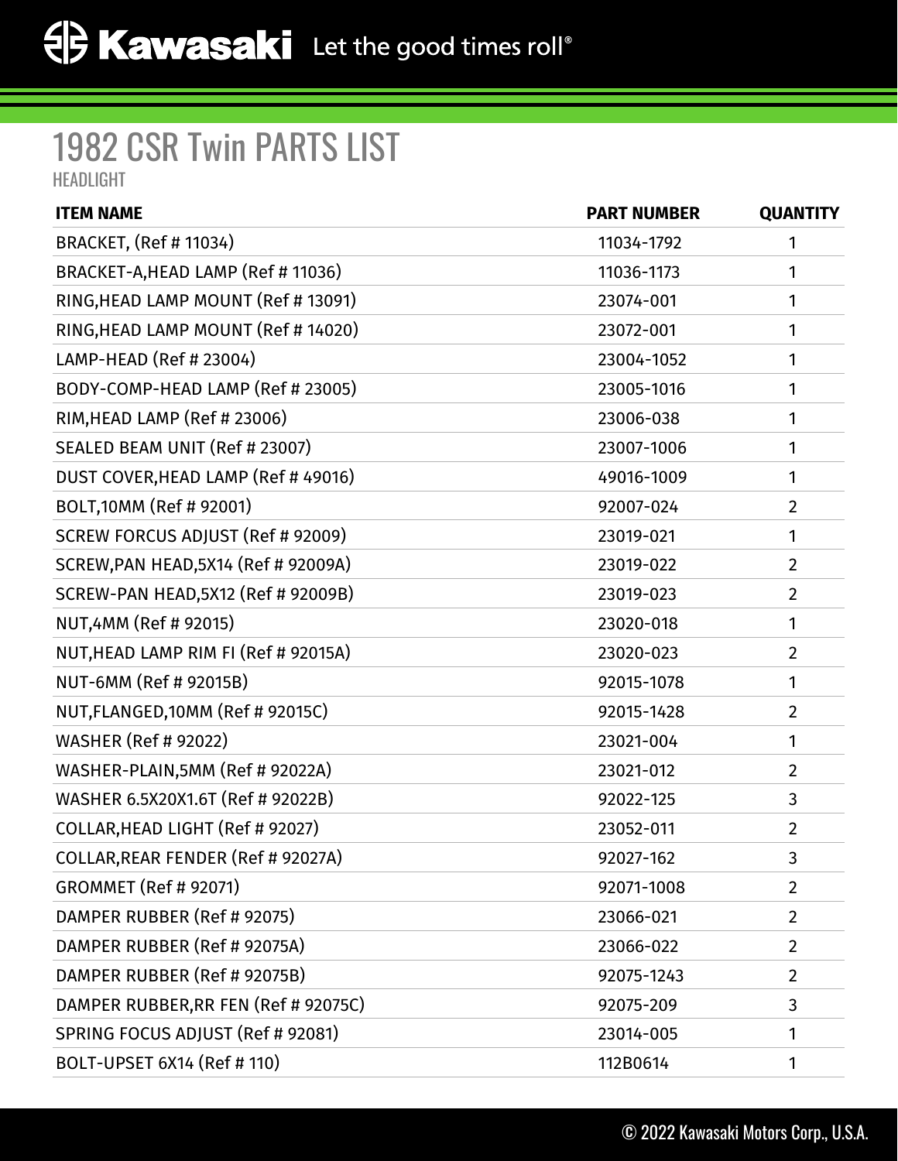## 1982 CSR Twin PARTS LIST HEADLIGHT

| <b>ITEM NAME</b>                           | <b>PART NUMBER</b> | <b>QUANTITY</b> |
|--------------------------------------------|--------------------|-----------------|
| <b>BRACKET, (Ref # 11034)</b>              | 11034-1792         | 1               |
| BRACKET-A, HEAD LAMP (Ref # 11036)         | 11036-1173         | 1               |
| RING, HEAD LAMP MOUNT (Ref # 13091)        | 23074-001          | 1               |
| RING, HEAD LAMP MOUNT (Ref # 14020)        | 23072-001          | 1               |
| LAMP-HEAD (Ref # 23004)                    | 23004-1052         | 1               |
| BODY-COMP-HEAD LAMP (Ref # 23005)          | 23005-1016         | 1               |
| RIM, HEAD LAMP (Ref # 23006)               | 23006-038          | 1               |
| SEALED BEAM UNIT (Ref # 23007)             | 23007-1006         | 1               |
| DUST COVER, HEAD LAMP (Ref #49016)         | 49016-1009         | $\mathbf{1}$    |
| BOLT, 10MM (Ref # 92001)                   | 92007-024          | $\overline{2}$  |
| SCREW FORCUS ADJUST (Ref # 92009)          | 23019-021          | 1               |
| SCREW, PAN HEAD, 5X14 (Ref # 92009A)       | 23019-022          | $\overline{2}$  |
| <b>SCREW-PAN HEAD, 5X12 (Ref # 92009B)</b> | 23019-023          | $\overline{2}$  |
| NUT,4MM (Ref # 92015)                      | 23020-018          | 1               |
| NUT, HEAD LAMP RIM FI (Ref # 92015A)       | 23020-023          | $\overline{2}$  |
| NUT-6MM (Ref # 92015B)                     | 92015-1078         | 1               |
| NUT, FLANGED, 10MM (Ref # 92015C)          | 92015-1428         | $\overline{2}$  |
| <b>WASHER (Ref # 92022)</b>                | 23021-004          | 1               |
| WASHER-PLAIN, 5MM (Ref # 92022A)           | 23021-012          | $\overline{2}$  |
| WASHER 6.5X20X1.6T (Ref # 92022B)          | 92022-125          | 3               |
| COLLAR, HEAD LIGHT (Ref # 92027)           | 23052-011          | $\overline{2}$  |
| COLLAR, REAR FENDER (Ref # 92027A)         | 92027-162          | 3               |
| <b>GROMMET (Ref # 92071)</b>               | 92071-1008         | $\overline{2}$  |
| DAMPER RUBBER (Ref # 92075)                | 23066-021          | $\overline{2}$  |
| DAMPER RUBBER (Ref # 92075A)               | 23066-022          | $\overline{2}$  |
| DAMPER RUBBER (Ref # 92075B)               | 92075-1243         | $\overline{2}$  |
| DAMPER RUBBER, RR FEN (Ref # 92075C)       | 92075-209          | 3               |
| SPRING FOCUS ADJUST (Ref # 92081)          | 23014-005          | 1               |
| BOLT-UPSET 6X14 (Ref # 110)                | 112B0614           | 1               |